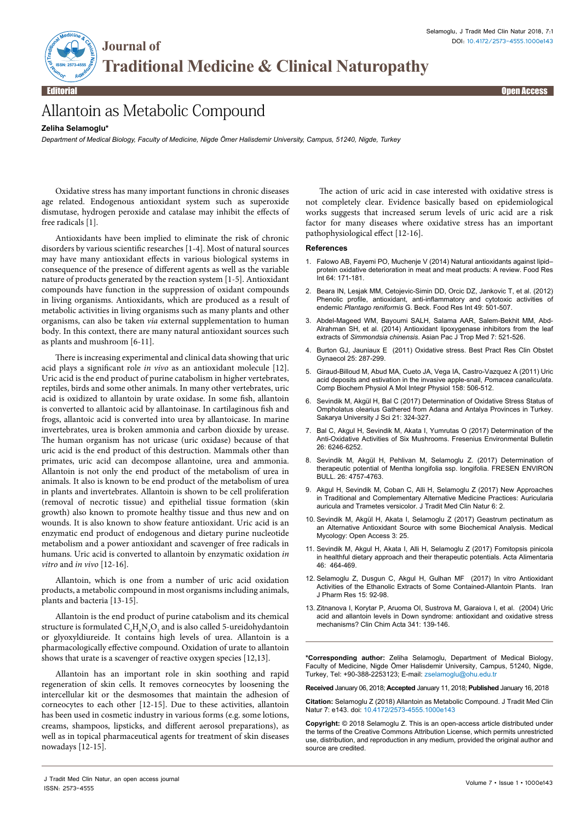

**Traditional Medicine & Clinical Naturopathy**

Editorial Open Access

## Allantoin as Metabolic Compound

**Zeliha Selamoglu\***

*Department of Medical Biology, Faculty of Medicine, Nigde Ömer Halisdemir University, Campus, 51240, Nigde, Turkey*

Oxidative stress has many important functions in chronic diseases age related. Endogenous antioxidant system such as superoxide dismutase, hydrogen peroxide and catalase may inhibit the effects of free radicals [1].

Antioxidants have been implied to eliminate the risk of chronic disorders by various scientific researches [1-4]. Most of natural sources may have many antioxidant effects in various biological systems in consequence of the presence of different agents as well as the variable nature of products generated by the reaction system [1-5]. Antioxidant compounds have function in the suppression of oxidant compounds in living organisms. Antioxidants, which are produced as a result of metabolic activities in living organisms such as many plants and other organisms, can also be taken *via* external supplementation to human body. In this context, there are many natural antioxidant sources such as plants and mushroom [6-11].

There is increasing experimental and clinical data showing that uric acid plays a significant role *in vivo* as an antioxidant molecule [12]. Uric acid is the end product of purine catabolism in higher vertebrates, reptiles, birds and some other animals. In many other vertebrates, uric acid is oxidized to allantoin by urate oxidase. In some fish, allantoin is converted to allantoic acid by allantoinase. In cartilaginous fish and frogs, allantoic acid is converted into urea by allantoicase. In marine invertebrates, urea is broken ammonia and carbon dioxide by urease. The human organism has not uricase (uric oxidase) because of that uric acid is the end product of this destruction. Mammals other than primates, uric acid can decompose allantoine, urea and ammonia. Allantoin is not only the end product of the metabolism of urea in animals. It also is known to be end product of the metabolism of urea in plants and invertebrates. Allantoin is shown to be cell proliferation (removal of necrotic tissue) and epithelial tissue formation (skin growth) also known to promote healthy tissue and thus new and on wounds. It is also known to show feature antioxidant. Uric acid is an enzymatic end product of endogenous and dietary purine nucleotide metabolism and a power antioxidant and scavenger of free radicals in humans. Uric acid is converted to allantoin by enzymatic oxidation *in vitro* and *in vivo* [12-16].

Allantoin, which is one from a number of uric acid oxidation products, a metabolic compound in most organisms including animals, plants and bacteria [13-15].

Allantoin is the end product of purine catabolism and its chemical structure is formulated  $\mathrm{C_4H_6N_4O_3}$  and is also called 5-ureidohydantoin or glyoxyldiureide. It contains high levels of urea. Allantoin is a pharmacologically effective compound. Oxidation of urate to allantoin shows that urate is a scavenger of reactive oxygen species [12,13].

Allantoin has an important role in skin soothing and rapid regeneration of skin cells. It removes corneocytes by loosening the intercellular kit or the desmosomes that maintain the adhesion of corneocytes to each other [12-15]. Due to these activities, allantoin has been used in cosmetic industry in various forms (e.g. some lotions, creams, shampoos, lipsticks, and different aerosol preparations), as well as in topical pharmaceutical agents for treatment of skin diseases nowadays [12-15].

The action of uric acid in case interested with oxidative stress is not completely clear. Evidence basically based on epidemiological works suggests that increased serum levels of uric acid are a risk factor for many diseases where oxidative stress has an important pathophysiological effect [12-16].

## **References**

- 1. [Falowo AB, Fayemi PO, Muchenje V \(2014\) Natural antioxidants against lipid–](https://www.sciencedirect.com/science/article/pii/S0963996914004177) [protein oxidative deterioration in meat and meat products: A review. Food Res](https://www.sciencedirect.com/science/article/pii/S0963996914004177)  Int [64: 171-181.](https://www.sciencedirect.com/science/article/pii/S0963996914004177)
- 2. [Beara IN, Lesjak MM, Cetojevic-Simin DD, Orcic DZ, Jankovic T, et al. \(2012\)](https://www.sciencedirect.com/science/article/pii/S0963996912003158)  [Phenolic profile, antioxidant, anti-inflammatory and cytotoxic activities of](https://www.sciencedirect.com/science/article/pii/S0963996912003158)  endemic *Plantago reniformis* [G. Beck. Food Res Int](https://www.sciencedirect.com/science/article/pii/S0963996912003158) 49: 501-507.
- 3. [Abdel-Mageed WM, Bayoumi SALH, Salama AAR, Salem-Bekhit MM, Abd-](http://www.sciencedirect.com/science/article/pii/S1995764514602844)[Alrahman SH, et al. \(2014\) Antioxidant lipoxygenase inhibitors from the leaf](http://www.sciencedirect.com/science/article/pii/S1995764514602844)  extracts of *Simmondsia chinensis*[. Asian Pac J Trop Med](http://www.sciencedirect.com/science/article/pii/S1995764514602844) 7: 521-526.
- 4. [Burton GJ, Jauniaux E \(2011\) Oxidative stress. Best Pract Res Clin Obstet](http://dx.doi.org/10.1016/j.bpobgyn.2010.10.016)  Gynaecol [25: 287-299.](http://dx.doi.org/10.1016/j.bpobgyn.2010.10.016)
- 5. [Giraud-Billoud M, Abud MA, Cueto JA, Vega IA, Castro-Vazquez A \(2011\) Uric](http://dx.doi.org/10.1016/j.cbpa.2010.12.012)  [acid deposits and estivation in the invasive apple-snail,](http://dx.doi.org/10.1016/j.cbpa.2010.12.012) *Pomacea canaliculata*. [Comp Biochem Physiol A Mol Integr Physiol 158: 506-512.](http://dx.doi.org/10.1016/j.cbpa.2010.12.012)
- 6. [Sevindik M, Akgül H, Bal C \(2017\) Determination of Oxidative Stress Status of](http://dx.doi.org/10.16984/saufenbilder.09547)  [Ompholatus olearius Gathered from Adana and Antalya Provinces in Turkey.](http://dx.doi.org/10.16984/saufenbilder.09547)  [Sakarya University J Sci 21: 324-327.](http://dx.doi.org/10.16984/saufenbilder.09547)
- 7. [Bal C, Akgul H, Sevindik M, Akata I, Yumrutas O \(2017\) Determination of the](https://www.researchgate.net/publication/320234199_DETERMINATION_OF_THE_ANTI-OXIDATIVE_ACTIVITIES_OF_SIX_MUSHROOMS)  [Anti-Oxidative Activities of Six Mushrooms. Fresenius Environmental Bulletin](https://www.researchgate.net/publication/320234199_DETERMINATION_OF_THE_ANTI-OXIDATIVE_ACTIVITIES_OF_SIX_MUSHROOMS)  [26: 6246-6252.](https://www.researchgate.net/publication/320234199_DETERMINATION_OF_THE_ANTI-OXIDATIVE_ACTIVITIES_OF_SIX_MUSHROOMS)
- 8. [Sevindik M, Akgül H, Pehlivan M, Selamoglu Z. \(2017\) Determination of](https://www.researchgate.net/publication/318860108_Determination_of_therapeutic_potential_of_Mentha_longifolia_ssp_longifolia)  [therapeutic potential of Mentha longifolia ssp. longifolia. FRESEN ENVIRON](https://www.researchgate.net/publication/318860108_Determination_of_therapeutic_potential_of_Mentha_longifolia_ssp_longifolia)  [BULL. 26: 4757-4763](https://www.researchgate.net/publication/318860108_Determination_of_therapeutic_potential_of_Mentha_longifolia_ssp_longifolia).
- 9. Akgul H, Sevindik M, Coban C, Alli H, Selamoglu Z (2017) New Approaches in Traditional and Complementary Alternative Medicine Practices: Auricularia auricula and Trametes versicolor. J Tradit Med Clin Natur 6: 2.
- 10. [Sevindik M, Akgül H, Akata I, Selamoglu Z \(2017\) Geastrum pectinatum as](http://mycology.imedpub.com/geastrum-pectinatum-as-an-alternative-antioxidant-source-with-some-biochemical-analysis.pdf)  [an Alternative Antioxidant Source with some Biochemical Analysis. Medical](http://mycology.imedpub.com/geastrum-pectinatum-as-an-alternative-antioxidant-source-with-some-biochemical-analysis.pdf)  [Mycology: Open Access 3: 25.](http://mycology.imedpub.com/geastrum-pectinatum-as-an-alternative-antioxidant-source-with-some-biochemical-analysis.pdf)
- 11. [Sevindik M, Akgul H, Akata I, Alli H, Selamoglu Z \(2017\) Fomitopsis pinicola](http://akademiai.com/doi/pdf/10.1556/066.2017.46.4.9)  [in healthful dietary approach and their therapeutic potentials. Acta Alimentaria](http://akademiai.com/doi/pdf/10.1556/066.2017.46.4.9)  [46: 464-469.](http://akademiai.com/doi/pdf/10.1556/066.2017.46.4.9)
- 12. [Selamoglu Z, Dusgun C, Akgul H, Gulhan MF \(2017\) In vitro Antioxidant](http://ijpr.sbmu.ac.ir/article_1993_f0348dba5c76dc91c2734f120d59e602.pdf)  [Activities of the Ethanolic Extracts of Some Contained-Allantoin Plants. Iran](http://ijpr.sbmu.ac.ir/article_1993_f0348dba5c76dc91c2734f120d59e602.pdf)  [J Pharm Res 15: 92-98.](http://ijpr.sbmu.ac.ir/article_1993_f0348dba5c76dc91c2734f120d59e602.pdf)
- 13. [Zitnanova I, Korytar P, Aruoma OI, Sustrova M, Garaiova I, et al. \(2004\) Uric](http://dx.doi.org/10.1016/j.cccn.2003.11.020)  [acid and allantoin levels in Down syndrome: antioxidant and oxidative stress](http://dx.doi.org/10.1016/j.cccn.2003.11.020)  [mechanisms? Clin Chim Acta](http://dx.doi.org/10.1016/j.cccn.2003.11.020) 341: 139-146.

**\*Corresponding author:** Zeliha Selamoglu, Department of Medical Biology, Faculty of Medicine, Nigde Ömer Halisdemir University, Campus, 51240, Nigde, Turkey, Tel: +90-388-2253123; E-mail: zselamoglu@ohu.edu.tr

**Received** January 06, 2018; **Accepted** January 11, 2018; **Published** January 16, 2018

**Citation:** Selamoglu Z (2018) Allantoin as Metabolic Compound. J Tradit Med Clin Natur 7: e143. doi: 10.4172/2573-4555.1000e143

**Copyright:** © 2018 Selamoglu Z. This is an open-access article distributed under the terms of the Creative Commons Attribution License, which permits unrestricted use, distribution, and reproduction in any medium, provided the original author and source are credited.

Volume 7 • Issue 1 • 1000e143 J Tradit Med Clin Natur, an open access journal ISSN: 2573-4555